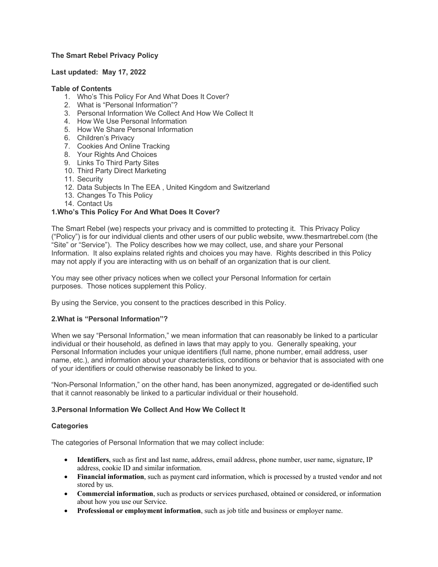# **The Smart Rebel Privacy Policy**

## **Last updated: May 17, 2022**

### **Table of Contents**

- 1. Who's This Policy For And What Does It Cover?
- 2. What is "Personal Information"?
- 3. Personal Information We Collect And How We Collect It
- 4. How We Use Personal Information
- 5. How We Share Personal Information
- 6. Children's Privacy
- 7. Cookies And Online Tracking
- 8. Your Rights And Choices
- 9. Links To Third Party Sites
- 10. Third Party Direct Marketing
- 11. Security
- 12. Data Subjects In The EEA , United Kingdom and Switzerland
- 13. Changes To This Policy
- 14. Contact Us

## **1.Who's This Policy For And What Does It Cover?**

The Smart Rebel (we) respects your privacy and is committed to protecting it. This Privacy Policy ("Policy") is for our individual clients and other users of our public website, www.thesmartrebel.com (the "Site" or "Service"). The Policy describes how we may collect, use, and share your Personal Information. It also explains related rights and choices you may have. Rights described in this Policy may not apply if you are interacting with us on behalf of an organization that is our client.

You may see other privacy notices when we collect your Personal Information for certain purposes. Those notices supplement this Policy.

By using the Service, you consent to the practices described in this Policy.

### **2.What is "Personal Information"?**

When we say "Personal Information," we mean information that can reasonably be linked to a particular individual or their household, as defined in laws that may apply to you. Generally speaking, your Personal Information includes your unique identifiers (full name, phone number, email address, user name, etc.), and information about your characteristics, conditions or behavior that is associated with one of your identifiers or could otherwise reasonably be linked to you.

"Non-Personal Information," on the other hand, has been anonymized, aggregated or de-identified such that it cannot reasonably be linked to a particular individual or their household.

### **3.Personal Information We Collect And How We Collect It**

### **Categories**

The categories of Personal Information that we may collect include:

- **Identifiers**, such as first and last name, address, email address, phone number, user name, signature, IP address, cookie ID and similar information.
- **Financial information**, such as payment card information, which is processed by a trusted vendor and not stored by us.
- **Commercial information**, such as products or services purchased, obtained or considered, or information about how you use our Service.
- **Professional or employment information**, such as job title and business or employer name.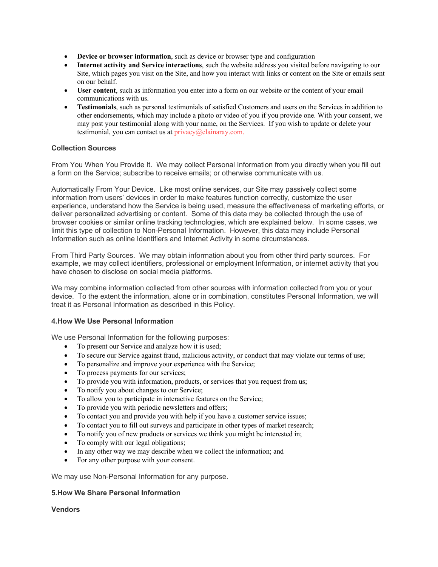- **Device or browser information**, such as device or browser type and configuration
- **Internet activity and Service interactions**, such the website address you visited before navigating to our Site, which pages you visit on the Site, and how you interact with links or content on the Site or emails sent on our behalf.
- **User content**, such as information you enter into a form on our website or the content of your email communications with us.
- **Testimonials**, such as personal testimonials of satisfied Customers and users on the Services in addition to other endorsements, which may include a photo or video of you if you provide one. With your consent, we may post your testimonial along with your name, on the Services. If you wish to update or delete your testimonial, you can contact us at  $\text{privacy}(\partial \text{elainaray.com.})$

### **Collection Sources**

From You When You Provide It. We may collect Personal Information from you directly when you fill out a form on the Service; subscribe to receive emails; or otherwise communicate with us.

Automatically From Your Device. Like most online services, our Site may passively collect some information from users' devices in order to make features function correctly, customize the user experience, understand how the Service is being used, measure the effectiveness of marketing efforts, or deliver personalized advertising or content. Some of this data may be collected through the use of browser cookies or similar online tracking technologies, which are explained below. In some cases, we limit this type of collection to Non-Personal Information. However, this data may include Personal Information such as online Identifiers and Internet Activity in some circumstances.

From Third Party Sources. We may obtain information about you from other third party sources. For example, we may collect identifiers, professional or employment Information, or internet activity that you have chosen to disclose on social media platforms.

We may combine information collected from other sources with information collected from you or your device. To the extent the information, alone or in combination, constitutes Personal Information, we will treat it as Personal Information as described in this Policy.

## **4.How We Use Personal Information**

We use Personal Information for the following purposes:

- To present our Service and analyze how it is used;
- To secure our Service against fraud, malicious activity, or conduct that may violate our terms of use;
- To personalize and improve your experience with the Service;
- To process payments for our services;
- To provide you with information, products, or services that you request from us;
- To notify you about changes to our Service;
- To allow you to participate in interactive features on the Service;
- To provide you with periodic newsletters and offers;
- To contact you and provide you with help if you have a customer service issues;
- To contact you to fill out surveys and participate in other types of market research;
- To notify you of new products or services we think you might be interested in;
- To comply with our legal obligations;
- In any other way we may describe when we collect the information; and
- For any other purpose with your consent.

We may use Non-Personal Information for any purpose.

### **5.How We Share Personal Information**

### **Vendors**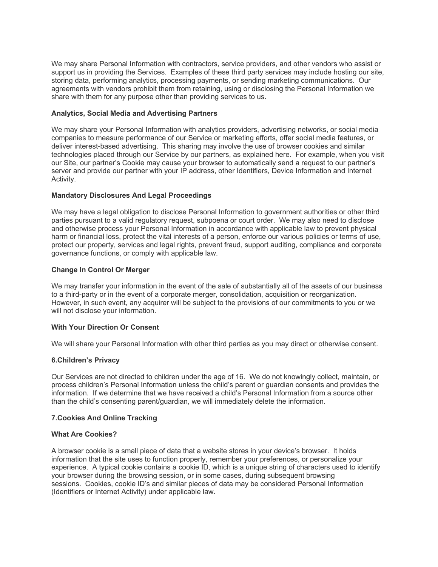We may share Personal Information with contractors, service providers, and other vendors who assist or support us in providing the Services. Examples of these third party services may include hosting our site, storing data, performing analytics, processing payments, or sending marketing communications. Our agreements with vendors prohibit them from retaining, using or disclosing the Personal Information we share with them for any purpose other than providing services to us.

### **Analytics, Social Media and Advertising Partners**

We may share your Personal Information with analytics providers, advertising networks, or social media companies to measure performance of our Service or marketing efforts, offer social media features, or deliver interest-based advertising. This sharing may involve the use of browser cookies and similar technologies placed through our Service by our partners, as explained here. For example, when you visit our Site, our partner's Cookie may cause your browser to automatically send a request to our partner's server and provide our partner with your IP address, other Identifiers, Device Information and Internet Activity.

## **Mandatory Disclosures And Legal Proceedings**

We may have a legal obligation to disclose Personal Information to government authorities or other third parties pursuant to a valid regulatory request, subpoena or court order. We may also need to disclose and otherwise process your Personal Information in accordance with applicable law to prevent physical harm or financial loss, protect the vital interests of a person, enforce our various policies or terms of use, protect our property, services and legal rights, prevent fraud, support auditing, compliance and corporate governance functions, or comply with applicable law.

## **Change In Control Or Merger**

We may transfer your information in the event of the sale of substantially all of the assets of our business to a third-party or in the event of a corporate merger, consolidation, acquisition or reorganization. However, in such event, any acquirer will be subject to the provisions of our commitments to you or we will not disclose your information.

## **With Your Direction Or Consent**

We will share your Personal Information with other third parties as you may direct or otherwise consent.

### **6.Children's Privacy**

Our Services are not directed to children under the age of 16. We do not knowingly collect, maintain, or process children's Personal Information unless the child's parent or guardian consents and provides the information. If we determine that we have received a child's Personal Information from a source other than the child's consenting parent/guardian, we will immediately delete the information.

### **7.Cookies And Online Tracking**

### **What Are Cookies?**

A browser cookie is a small piece of data that a website stores in your device's browser. It holds information that the site uses to function properly, remember your preferences, or personalize your experience. A typical cookie contains a cookie ID, which is a unique string of characters used to identify your browser during the browsing session, or in some cases, during subsequent browsing sessions. Cookies, cookie ID's and similar pieces of data may be considered Personal Information (Identifiers or Internet Activity) under applicable law.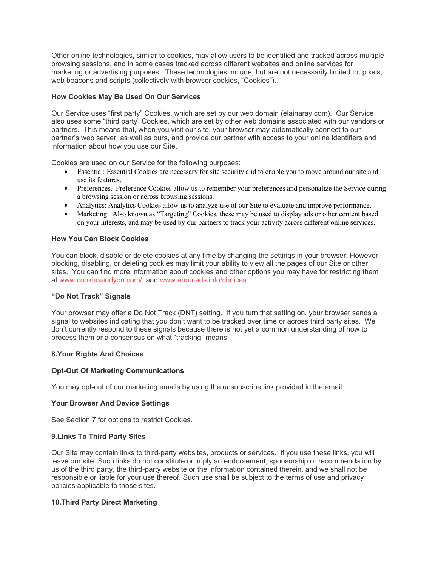Other online technologies, similar to cookies, may allow users to be identified and tracked across multiple browsing sessions, and in some cases tracked across different websites and online services for marketing or advertising purposes. These technologies include, but are not necessarily limited to, pixels, web beacons and scripts (collectively with browser cookies, "Cookies").

## **How Cookies May Be Used On Our Services**

Our Service uses "first party" Cookies, which are set by our web domain (elainaray.com). Our Service also uses some "third party" Cookies, which are set by other web domains associated with our vendors or partners. This means that, when you visit our site, your browser may automatically connect to our partner's web server, as well as ours, and provide our partner with access to your online identifiers and information about how you use our Site.

Cookies are used on our Service for the following purposes:

- Essential: Essential Cookies are necessary for site security and to enable you to move around our site and use its features.
- Preferences. Preference Cookies allow us to remember your preferences and personalize the Service during a browsing session or across browsing sessions.
- Analytics: Analytics Cookies allow us to analyze use of our Site to evaluate and improve performance.
- Marketing: Also known as "Targeting" Cookies, these may be used to display ads or other content based on your interests, and may be used by our partners to track your activity across different online services.

### **How You Can Block Cookies**

You can block, disable or delete cookies at any time by changing the settings in your browser. However, blocking, disabling, or deleting cookies may limit your ability to view all the pages of our Site or other sites. You can find more information about cookies and other options you may have for restricting them at www.cookiesandyou.com/, and www.aboutads.info/choices.

### **"Do Not Track" Signals**

Your browser may offer a Do Not Track (DNT) setting. If you turn that setting on, your browser sends a signal to websites indicating that you don't want to be tracked over time or across third party sites. We don't currently respond to these signals because there is not yet a common understanding of how to process them or a consensus on what "tracking" means.

## **8.Your Rights And Choices**

### **Opt-Out Of Marketing Communications**

You may opt-out of our marketing emails by using the unsubscribe link provided in the email.

### **Your Browser And Device Settings**

See Section 7 for options to restrict Cookies.

### **9.Links To Third Party Sites**

Our Site may contain links to third-party websites, products or services. If you use these links, you will leave our site. Such links do not constitute or imply an endorsement, sponsorship or recommendation by us of the third party, the third-party website or the information contained therein, and we shall not be responsible or liable for your use thereof. Such use shall be subject to the terms of use and privacy policies applicable to those sites.

## **10.Third Party Direct Marketing**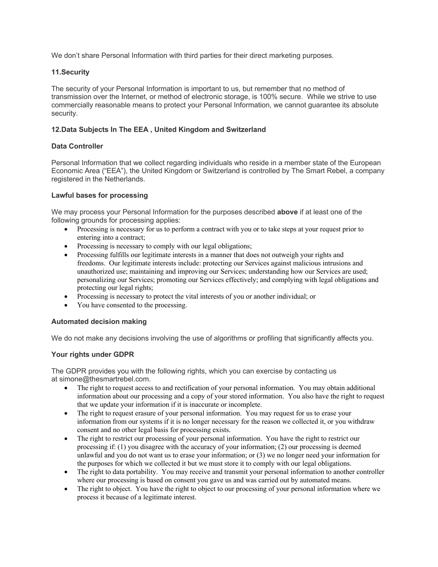We don't share Personal Information with third parties for their direct marketing purposes.

## **11.Security**

The security of your Personal Information is important to us, but remember that no method of transmission over the Internet, or method of electronic storage, is 100% secure. While we strive to use commercially reasonable means to protect your Personal Information, we cannot guarantee its absolute security.

## **12.Data Subjects In The EEA , United Kingdom and Switzerland**

## **Data Controller**

Personal Information that we collect regarding individuals who reside in a member state of the European Economic Area ("EEA"), the United Kingdom or Switzerland is controlled by The Smart Rebel, a company registered in the Netherlands.

### **Lawful bases for processing**

We may process your Personal Information for the purposes described **above** if at least one of the following grounds for processing applies:

- Processing is necessary for us to perform a contract with you or to take steps at your request prior to entering into a contract;
- Processing is necessary to comply with our legal obligations;
- Processing fulfills our legitimate interests in a manner that does not outweigh your rights and freedoms. Our legitimate interests include: protecting our Services against malicious intrusions and unauthorized use; maintaining and improving our Services; understanding how our Services are used; personalizing our Services; promoting our Services effectively; and complying with legal obligations and protecting our legal rights;
- Processing is necessary to protect the vital interests of you or another individual; or
- You have consented to the processing.

### **Automated decision making**

We do not make any decisions involving the use of algorithms or profiling that significantly affects you.

### **Your rights under GDPR**

The GDPR provides you with the following rights, which you can exercise by contacting us at simone@thesmartrebel.com.

- The right to request access to and rectification of your personal information*.* You may obtain additional information about our processing and a copy of your stored information. You also have the right to request that we update your information if it is inaccurate or incomplete.
- The right to request erasure of your personal information. You may request for us to erase your information from our systems if it is no longer necessary for the reason we collected it, or you withdraw consent and no other legal basis for processing exists.
- The right to restrict our processing of your personal information. You have the right to restrict our processing if: (1) you disagree with the accuracy of your information; (2) our processing is deemed unlawful and you do not want us to erase your information; or (3) we no longer need your information for the purposes for which we collected it but we must store it to comply with our legal obligations.
- The right to data portability. You may receive and transmit your personal information to another controller where our processing is based on consent you gave us and was carried out by automated means.
- The right to object. You have the right to object to our processing of your personal information where we process it because of a legitimate interest.